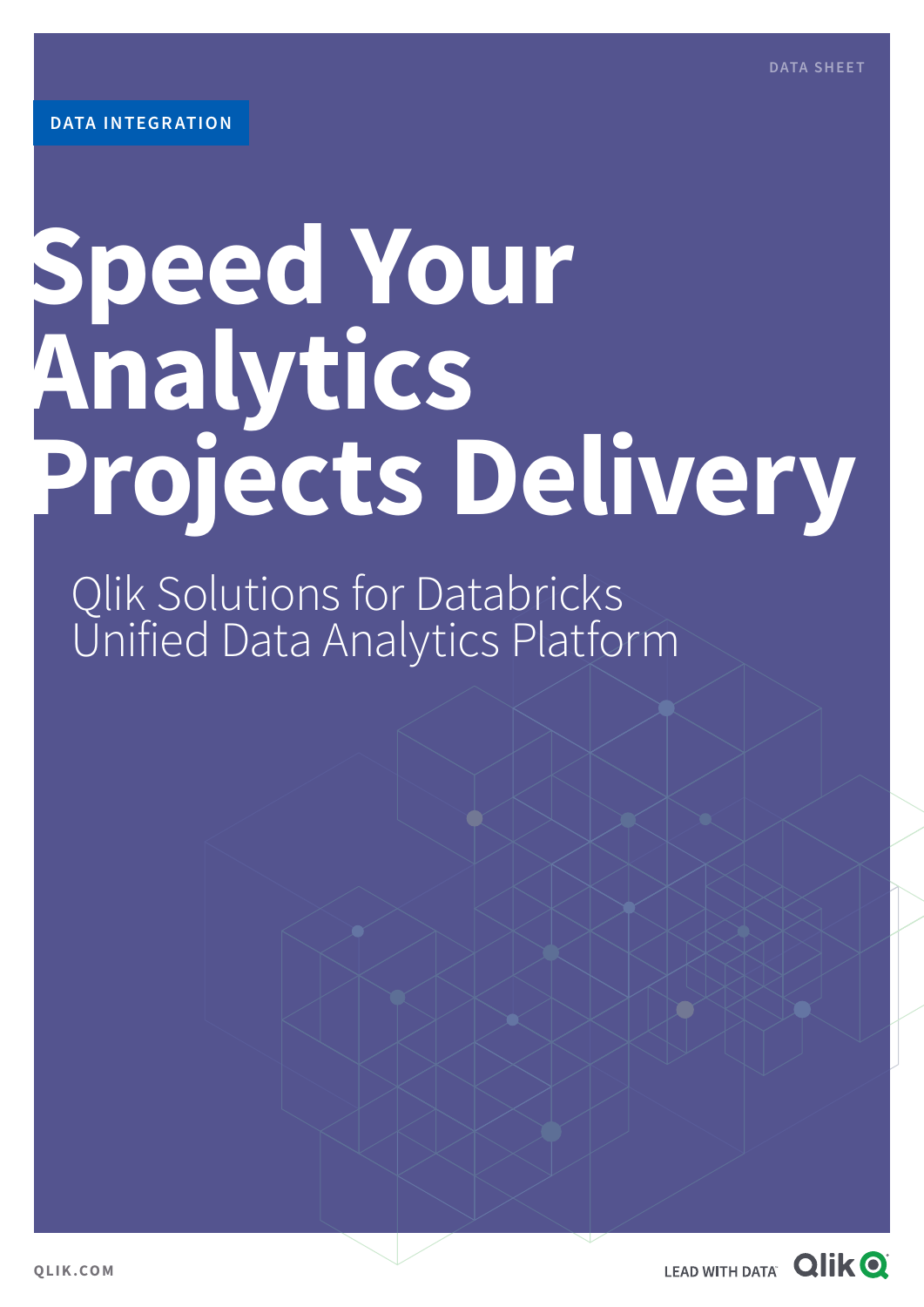# **Speed Your Analytics Projects Delivery**

Qlik Solutions for Databricks Unified Data Analytics Platform

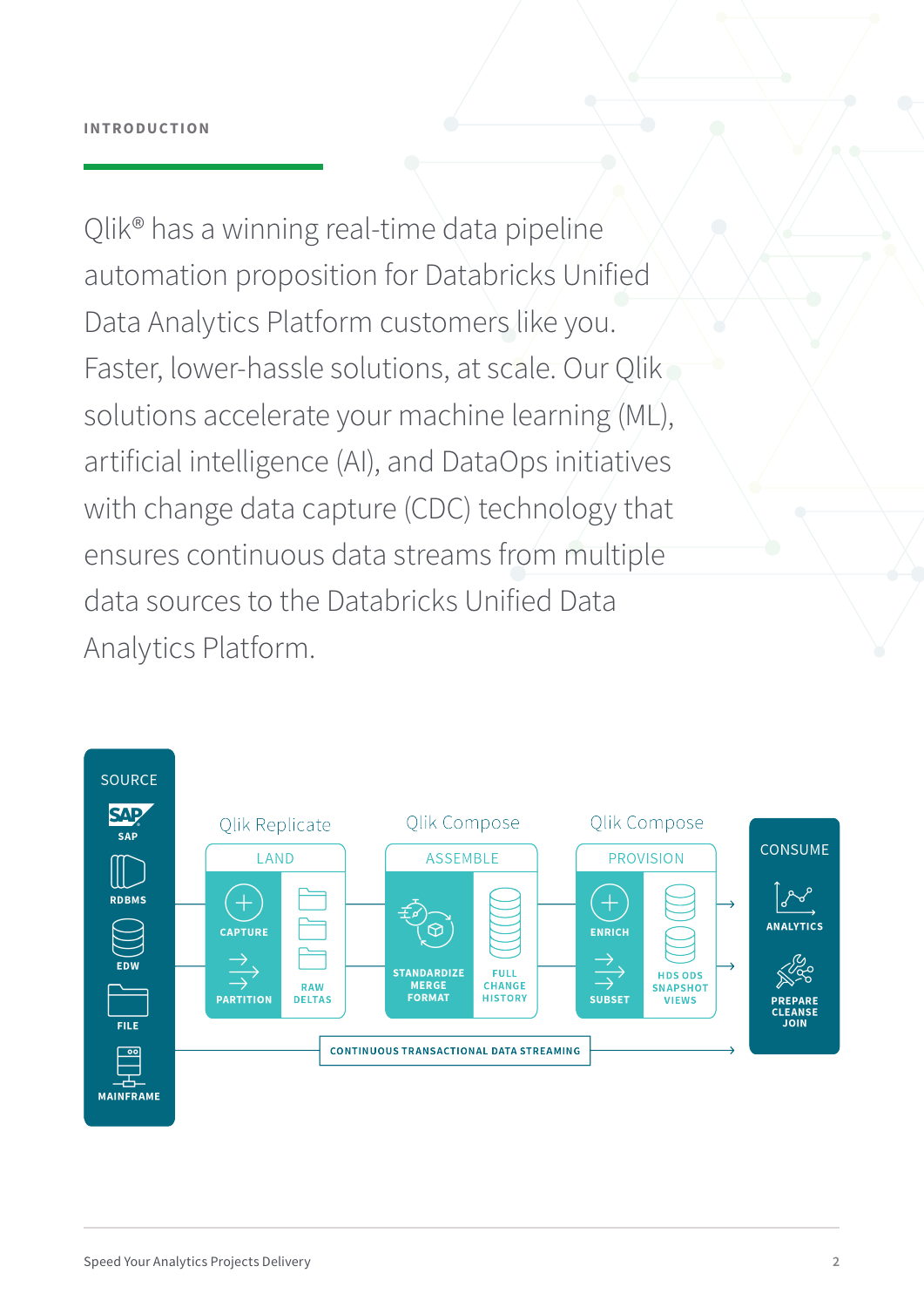Qlik® has a winning real-time data pipeline automation proposition for Databricks Unified Data Analytics Platform customers like you. Faster, lower-hassle solutions, at scale. Our Qlik solutions accelerate your machine learning (ML), artificial intelligence (AI), and DataOps initiatives with change data capture (CDC) technology that ensures continuous data streams from multiple data sources to the Databricks Unified Data Analytics Platform.

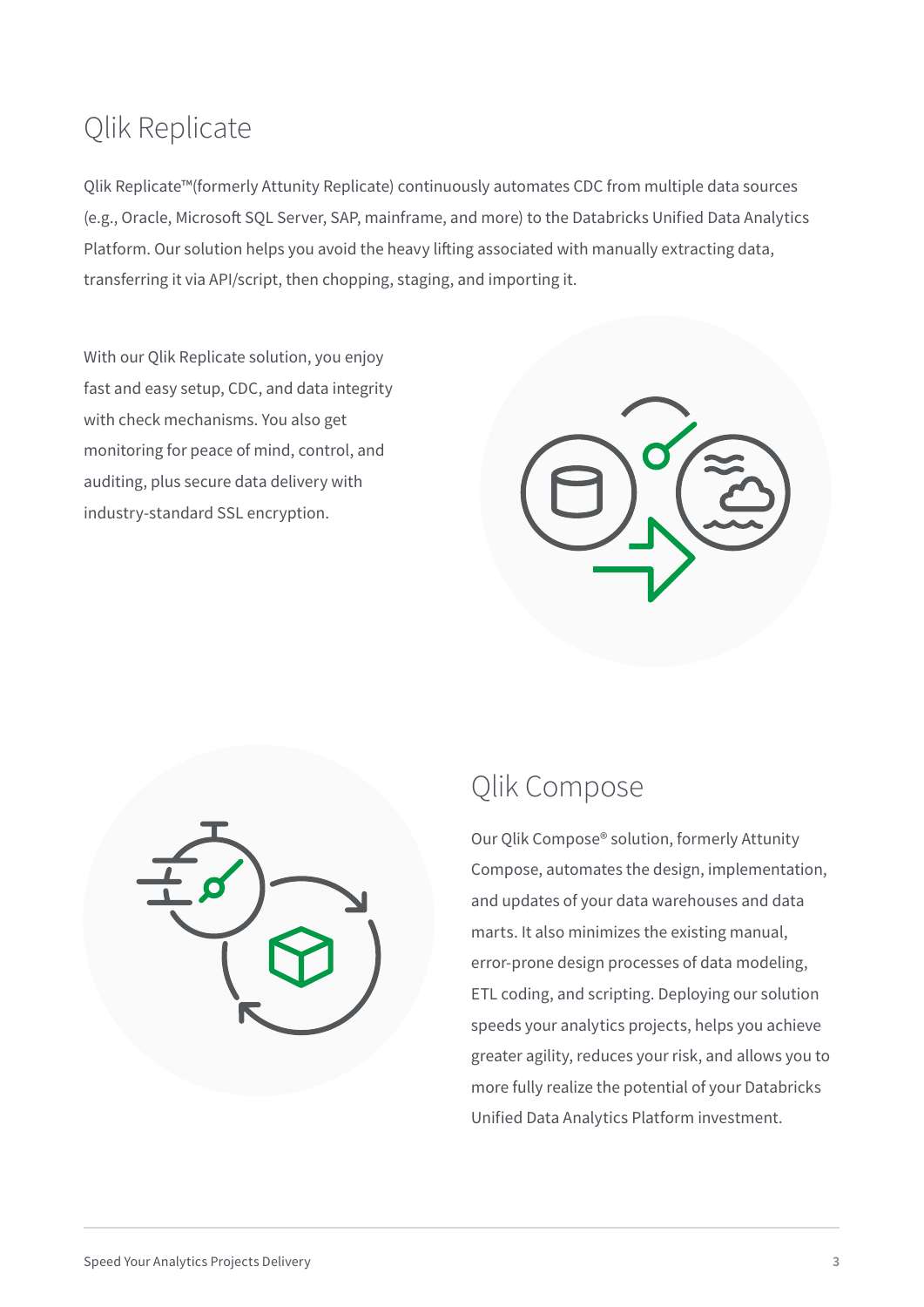## Qlik Replicate

Qlik Replicate™(formerly Attunity Replicate) continuously automates CDC from multiple data sources (e.g., Oracle, Microsoft SQL Server, SAP, mainframe, and more) to the Databricks Unified Data Analytics Platform. Our solution helps you avoid the heavy lifting associated with manually extracting data, transferring it via API/script, then chopping, staging, and importing it.

With our Qlik Replicate solution, you enjoy fast and easy setup, CDC, and data integrity with check mechanisms. You also get monitoring for peace of mind, control, and auditing, plus secure data delivery with industry-standard SSL encryption.





### Qlik Compose

Our Qlik Compose® solution, formerly Attunity Compose, automates the design, implementation, and updates of your data warehouses and data marts. It also minimizes the existing manual, error-prone design processes of data modeling, ETL coding, and scripting. Deploying our solution speeds your analytics projects, helps you achieve greater agility, reduces your risk, and allows you to more fully realize the potential of your Databricks Unified Data Analytics Platform investment.